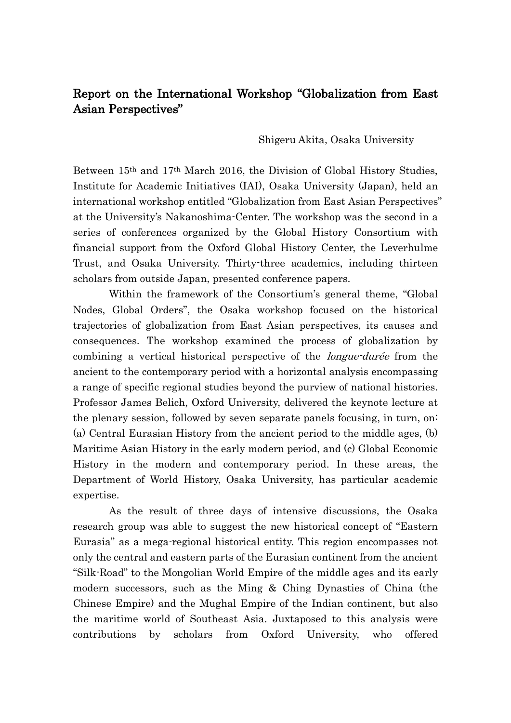## Report on the International Workshop "Globalization from East Asian Perspectives"

Shigeru Akita, Osaka University

Between 15th and 17th March 2016, the Division of Global History Studies, Institute for Academic Initiatives (IAI), Osaka University (Japan), held an international workshop entitled "Globalization from East Asian Perspectives" at the University's Nakanoshima-Center. The workshop was the second in a series of conferences organized by the Global History Consortium with financial support from the Oxford Global History Center, the Leverhulme Trust, and Osaka University. Thirty-three academics, including thirteen scholars from outside Japan, presented conference papers.

Within the framework of the Consortium's general theme, "Global Nodes, Global Orders", the Osaka workshop focused on the historical trajectories of globalization from East Asian perspectives, its causes and consequences. The workshop examined the process of globalization by combining a vertical historical perspective of the longue-durée from the ancient to the contemporary period with a horizontal analysis encompassing a range of specific regional studies beyond the purview of national histories. Professor James Belich, Oxford University, delivered the keynote lecture at the plenary session, followed by seven separate panels focusing, in turn, on: (a) Central Eurasian History from the ancient period to the middle ages, (b) Maritime Asian History in the early modern period, and (c) Global Economic History in the modern and contemporary period. In these areas, the Department of World History, Osaka University, has particular academic expertise.

As the result of three days of intensive discussions, the Osaka research group was able to suggest the new historical concept of "Eastern Eurasia" as a mega-regional historical entity. This region encompasses not only the central and eastern parts of the Eurasian continent from the ancient "Silk-Road" to the Mongolian World Empire of the middle ages and its early modern successors, such as the Ming & Ching Dynasties of China (the Chinese Empire) and the Mughal Empire of the Indian continent, but also the maritime world of Southeast Asia. Juxtaposed to this analysis were contributions by scholars from Oxford University, who offered